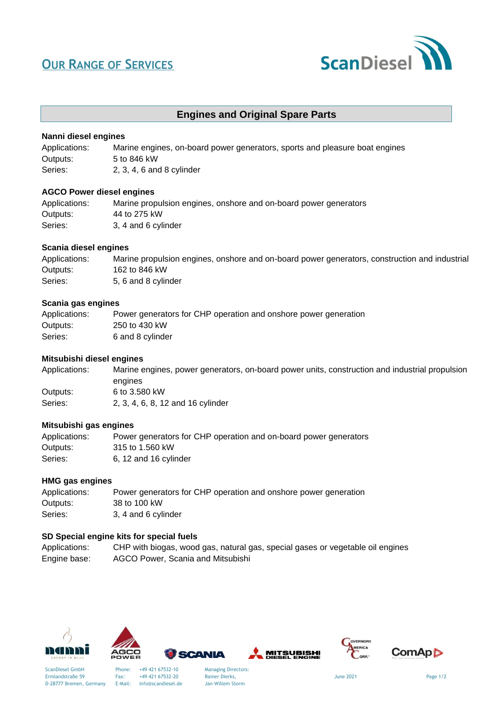# **OUR RANGE OF SERVICES**



### **Engines and Original Spare Parts**

#### **Nanni diesel engines**

| Applications: | Marine engines, on-board power generators, sports and pleasure boat engines |
|---------------|-----------------------------------------------------------------------------|
| Outputs:      | 5 to 846 kW                                                                 |
| Series:       | $2, 3, 4, 6$ and 8 cylinder                                                 |

#### **AGCO Power diesel engines**

| Applications: | Marine propulsion engines, onshore and on-board power generators |
|---------------|------------------------------------------------------------------|
| Outputs:      | 44 to 275 kW                                                     |
| Series:       | 3, 4 and 6 cylinder                                              |

#### **Scania diesel engines**

| Applications: | Marine propulsion engines, onshore and on-board power generators, construction and industrial |
|---------------|-----------------------------------------------------------------------------------------------|
| Outputs:      | 162 to 846 kW                                                                                 |
| Series:       | 5, 6 and 8 cylinder                                                                           |

#### **Scania gas engines**

| Applications: | Power generators for CHP operation and onshore power generation |
|---------------|-----------------------------------------------------------------|
| Outputs:      | 250 to 430 kW                                                   |
| Series:       | 6 and 8 cylinder                                                |

#### **Mitsubishi diesel engines**

| Applications: | Marine engines, power generators, on-board power units, construction and industrial propulsion |
|---------------|------------------------------------------------------------------------------------------------|
|               | engines                                                                                        |
| Outputs:      | 6 to 3.580 kW                                                                                  |
| Series:       | 2, 3, 4, 6, 8, 12 and 16 cylinder                                                              |

#### **Mitsubishi gas engines**

| Applications: | Power generators for CHP operation and on-board power generators |
|---------------|------------------------------------------------------------------|
| Outputs: l    | 315 to 1.560 kW                                                  |
| Series:       | 6, 12 and 16 cylinder                                            |

#### **HMG gas engines**

| Applications: | Power generators for CHP operation and onshore power generation |
|---------------|-----------------------------------------------------------------|
| Outputs:      | 38 to 100 kW                                                    |
| Series:       | 3, 4 and 6 cylinder                                             |

#### **SD Special engine kits for special fuels**

| Applications: | CHP with biogas, wood gas, natural gas, special gases or vegetable oil engines |
|---------------|--------------------------------------------------------------------------------|
| Engine base:  | AGCO Power, Scania and Mitsubishi                                              |







Ermlandstraße 59 Fax: +49 421 67532-20 Rainer Dierks, Suite of Page 1/2<br>
D-28777 Bremen, Germany E-Mail: info@scandiesel.de Jan-Willem Storm

SCANIA